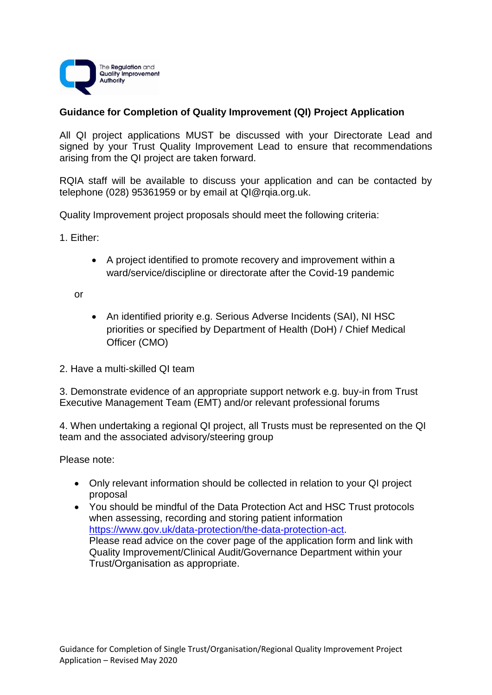

# **Guidance for Completion of Quality Improvement (QI) Project Application**

All QI project applications MUST be discussed with your Directorate Lead and signed by your Trust Quality Improvement Lead to ensure that recommendations arising from the QI project are taken forward.

RQIA staff will be available to discuss your application and can be contacted by telephone (028) 95361959 or by email at QI@rqia.org.uk.

Quality Improvement project proposals should meet the following criteria:

1. Either:

 A project identified to promote recovery and improvement within a ward/service/discipline or directorate after the Covid-19 pandemic

or

- An identified priority e.g. Serious Adverse Incidents (SAI), NI HSC priorities or specified by Department of Health (DoH) / Chief Medical Officer (CMO)
- 2. Have a multi-skilled QI team

3. Demonstrate evidence of an appropriate support network e.g. buy-in from Trust Executive Management Team (EMT) and/or relevant professional forums

4. When undertaking a regional QI project, all Trusts must be represented on the QI team and the associated advisory/steering group

Please note:

- Only relevant information should be collected in relation to your QI project proposal
- You should be mindful of the Data Protection Act and HSC Trust protocols when assessing, recording and storing patient information [https://www.gov.uk/data-protection/the-data-protection-act.](https://www.gov.uk/data-protection/the-data-protection-act) Please read advice on the cover page of the application form and link with Quality Improvement/Clinical Audit/Governance Department within your Trust/Organisation as appropriate.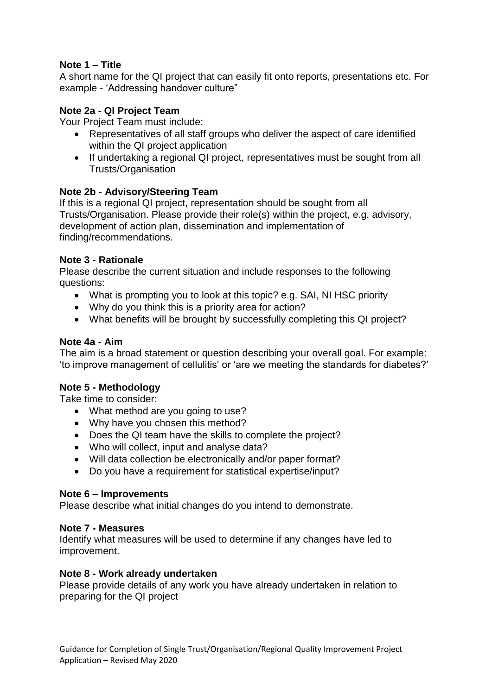## **Note 1 – Title**

A short name for the QI project that can easily fit onto reports, presentations etc. For example - 'Addressing handover culture"

## **Note 2a - QI Project Team**

Your Project Team must include:

- Representatives of all staff groups who deliver the aspect of care identified within the QI project application
- If undertaking a regional QI project, representatives must be sought from all Trusts/Organisation

## **Note 2b - Advisory/Steering Team**

If this is a regional QI project, representation should be sought from all Trusts/Organisation. Please provide their role(s) within the project, e.g. advisory, development of action plan, dissemination and implementation of finding/recommendations.

## **Note 3 - Rationale**

Please describe the current situation and include responses to the following questions:

- What is prompting you to look at this topic? e.g. SAI, NI HSC priority
- Why do you think this is a priority area for action?
- What benefits will be brought by successfully completing this QI project?

### **Note 4a - Aim**

The aim is a broad statement or question describing your overall goal. For example: 'to improve management of cellulitis' or 'are we meeting the standards for diabetes?'

### **Note 5 - Methodology**

Take time to consider:

- What method are you going to use?
- Why have you chosen this method?
- Does the QI team have the skills to complete the project?
- Who will collect, input and analyse data?
- Will data collection be electronically and/or paper format?
- Do you have a requirement for statistical expertise/input?

### **Note 6 – Improvements**

Please describe what initial changes do you intend to demonstrate.

### **Note 7 - Measures**

Identify what measures will be used to determine if any changes have led to improvement.

### **Note 8 - Work already undertaken**

Please provide details of any work you have already undertaken in relation to preparing for the QI project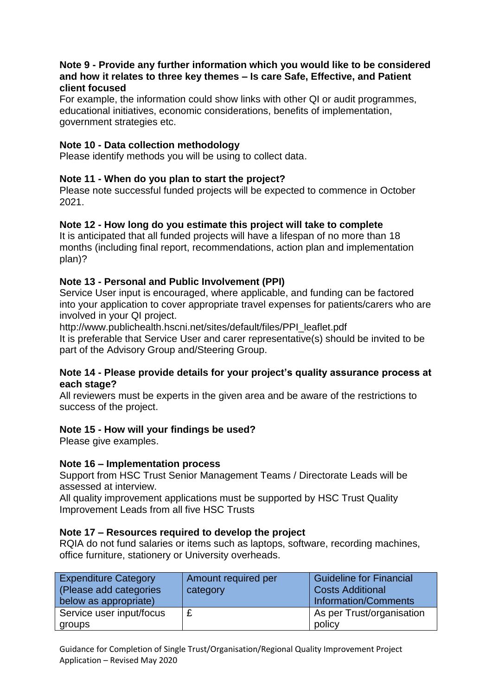### **Note 9 - Provide any further information which you would like to be considered and how it relates to three key themes – Is care Safe, Effective, and Patient client focused**

For example, the information could show links with other QI or audit programmes, educational initiatives, economic considerations, benefits of implementation, government strategies etc.

### **Note 10 - Data collection methodology**

Please identify methods you will be using to collect data.

## **Note 11 - When do you plan to start the project?**

Please note successful funded projects will be expected to commence in October 2021.

### **Note 12 - How long do you estimate this project will take to complete**

It is anticipated that all funded projects will have a lifespan of no more than 18 months (including final report, recommendations, action plan and implementation plan)?

### **Note 13 - Personal and Public Involvement (PPI)**

Service User input is encouraged, where applicable, and funding can be factored into your application to cover appropriate travel expenses for patients/carers who are involved in your QI project.

http://www.publichealth.hscni.net/sites/default/files/PPI\_leaflet.pdf

It is preferable that Service User and carer representative(s) should be invited to be part of the Advisory Group and/Steering Group.

### **Note 14 - Please provide details for your project's quality assurance process at each stage?**

All reviewers must be experts in the given area and be aware of the restrictions to success of the project.

### **Note 15 - How will your findings be used?**

Please give examples.

### **Note 16 – Implementation process**

Support from HSC Trust Senior Management Teams / Directorate Leads will be assessed at interview.

All quality improvement applications must be supported by HSC Trust Quality Improvement Leads from all five HSC Trusts

### **Note 17 – Resources required to develop the project**

RQIA do not fund salaries or items such as laptops, software, recording machines, office furniture, stationery or University overheads.

| <b>Expenditure Category</b> | Amount required per | <b>Guideline for Financial</b> |
|-----------------------------|---------------------|--------------------------------|
| (Please add categories      | category            | <b>Costs Additional</b>        |
| below as appropriate)       |                     | Information/Comments           |
| Service user input/focus    |                     | As per Trust/organisation      |
| groups                      |                     | policy                         |

Guidance for Completion of Single Trust/Organisation/Regional Quality Improvement Project Application – Revised May 2020